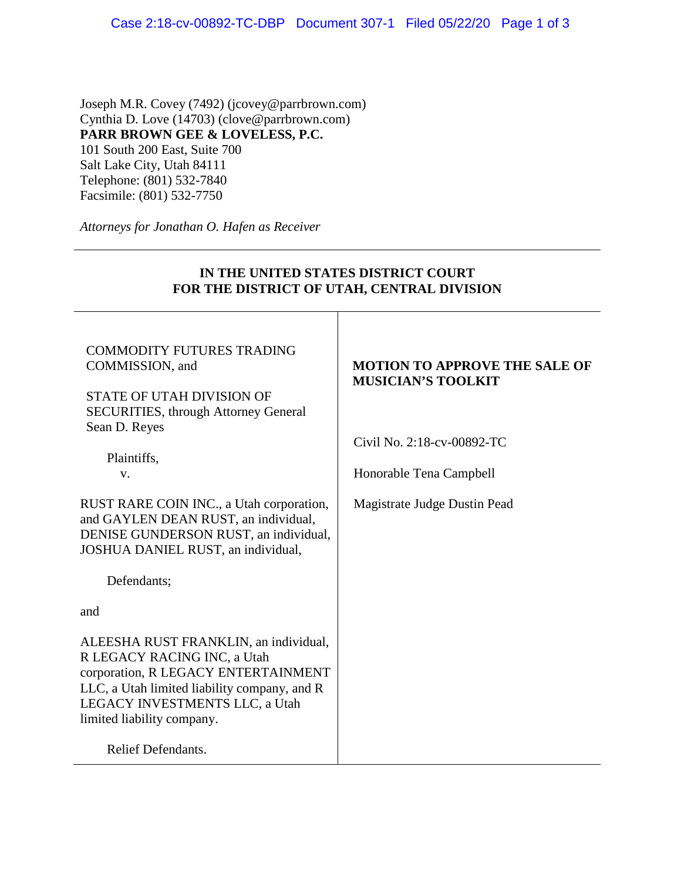Joseph M.R. Covey (7492) (jcovey@parrbrown.com) Cynthia D. Love (14703) (clove@parrbrown.com) **PARR BROWN GEE & LOVELESS, P.C.**  101 South 200 East, Suite 700 Salt Lake City, Utah 84111 Telephone: (801) 532-7840 Facsimile: (801) 532-7750

*Attorneys for Jonathan O. Hafen as Receiver* 

# **IN THE UNITED STATES DISTRICT COURT FOR THE DISTRICT OF UTAH, CENTRAL DIVISION** COMMODITY FUTURES TRADING COMMISSION, and STATE OF UTAH DIVISION OF SECURITIES, through Attorney General Sean D. Reyes Plaintiffs, v. RUST RARE COIN INC., a Utah corporation, and GAYLEN DEAN RUST, an individual, DENISE GUNDERSON RUST, an individual, JOSHUA DANIEL RUST, an individual, Defendants; and ALEESHA RUST FRANKLIN, an individual, R LEGACY RACING INC, a Utah corporation, R LEGACY ENTERTAINMENT LLC, a Utah limited liability company, and R LEGACY INVESTMENTS LLC, a Utah limited liability company. **MOTION TO APPROVE THE SALE OF MUSICIAN'S TOOLKIT** Civil No. 2:18-cv-00892-TC Honorable Tena Campbell Magistrate Judge Dustin Pead

Relief Defendants.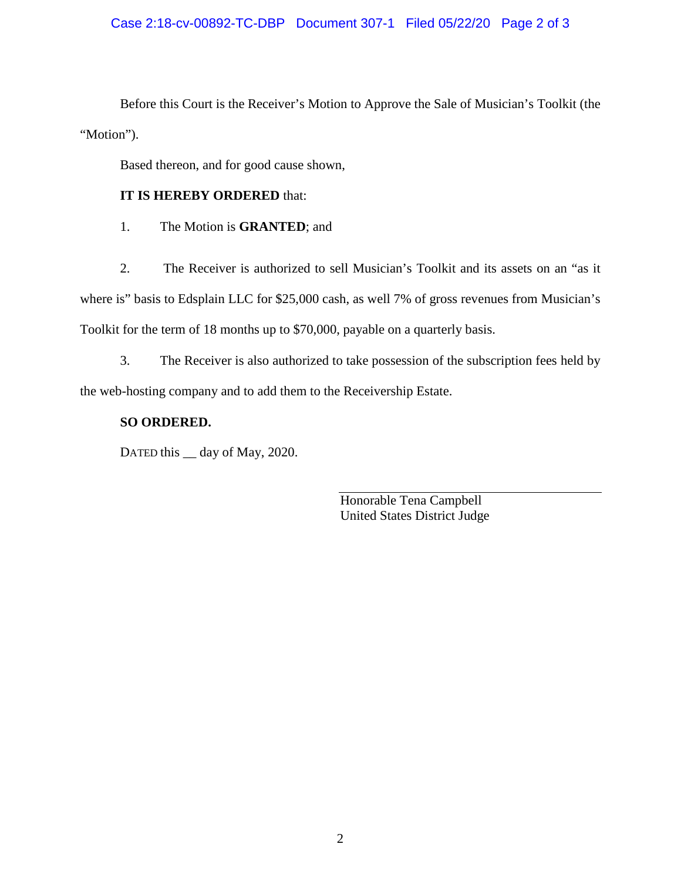### Case 2:18-cv-00892-TC-DBP Document 307-1 Filed 05/22/20 Page 2 of 3

Before this Court is the Receiver's Motion to Approve the Sale of Musician's Toolkit (the "Motion").

Based thereon, and for good cause shown,

## **IT IS HEREBY ORDERED** that:

1. The Motion is **GRANTED**; and

2. The Receiver is authorized to sell Musician's Toolkit and its assets on an "as it where is" basis to Edsplain LLC for \$25,000 cash, as well 7% of gross revenues from Musician's Toolkit for the term of 18 months up to \$70,000, payable on a quarterly basis.

3. The Receiver is also authorized to take possession of the subscription fees held by the web-hosting company and to add them to the Receivership Estate.

## **SO ORDERED.**

DATED this  $\_\_$  day of May, 2020.

Honorable Tena Campbell United States District Judge